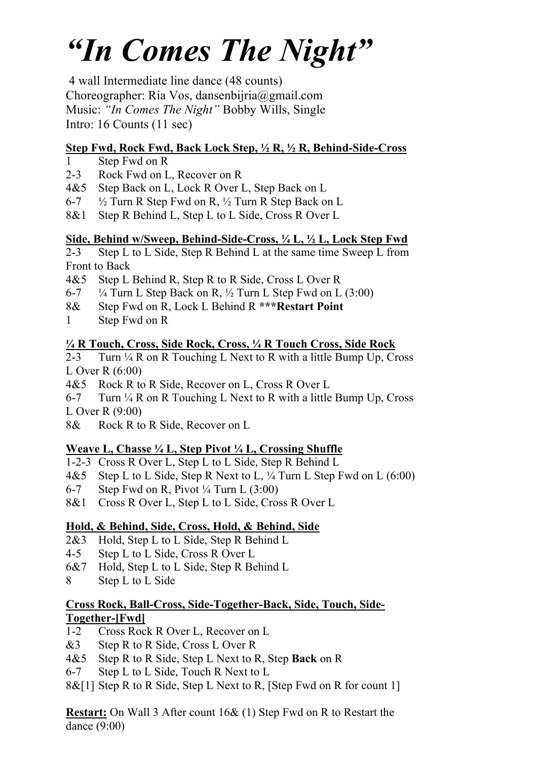# *"In Comes The Night"*

4 wall Intermediate line dance (48 counts) Choreographer: Ria Vos, dansenbijria@gmail.com Music: *"In Comes The Night"* Bobby Wills, Single Intro: 16 Counts (11 sec)

### **Step Fwd, Rock Fwd, Back Lock Step, ½ R, ½ R, Behind-Side-Cross**

- 1 Step Fwd on R
- 2-3 Rock Fwd on L, Recover on R
- 4&5 Step Back on L, Lock R Over L, Step Back on L
- 6-7  $\frac{1}{2}$  Turn R Step Fwd on R,  $\frac{1}{2}$  Turn R Step Back on L
- 8&1 Step R Behind L, Step L to L Side, Cross R Over L

### **Side, Behind w/Sweep, Behind-Side-Cross, ¼ L, ½ L, Lock Step Fwd**

2-3 Step L to L Side, Step R Behind L at the same time Sweep L from Front to Back

- 4&5 Step L Behind R, Step R to R Side, Cross L Over R
- 6-7  $\frac{1}{4}$  Turn L Step Back on R,  $\frac{1}{2}$  Turn L Step Fwd on L (3:00)
- 8& Step Fwd on R, Lock L Behind R **\*\*\*Restart Point**
- 1 Step Fwd on R

### **¼ R Touch, Cross, Side Rock, Cross, ¼ R Touch Cross, Side Rock**

2-3 Turn  $\frac{1}{4}$  R on R Touching L Next to R with a little Bump Up, Cross L Over R (6:00)

4&5 Rock R to R Side, Recover on L, Cross R Over L

6-7 Turn  $\frac{1}{4}$  R on R Touching L Next to R with a little Bump Up, Cross L Over R (9:00)

8& Rock R to R Side, Recover on L

# **Weave L, Chasse ¼ L, Step Pivot ¼ L, Crossing Shuffle**

1-2-3 Cross R Over L, Step L to L Side, Step R Behind L

- 4&5 Step L to L Side, Step R Next to L, 1/4 Turn L Step Fwd on L (6:00)
- 6-7 Step Fwd on R, Pivot  $\frac{1}{4}$  Turn L (3:00)
- 8&1 Cross R Over L, Step L to L Side, Cross R Over L

# **Hold, & Behind, Side, Cross, Hold, & Behind, Side**

- 2&3 Hold, Step L to L Side, Step R Behind L
- 4-5 Step L to L Side, Cross R Over L
- 6&7 Hold, Step L to L Side, Step R Behind L
- 8 Step L to L Side

### **Cross Rock, Ball-Cross, Side-Together-Back, Side, Touch, Side-Together-[Fwd]**

- 1-2 Cross Rock R Over L, Recover on L
- &3 Step R to R Side, Cross L Over R
- 4&5 Step R to R Side, Step L Next to R, Step **Back** on R
- 6-7 Step L to L Side, Touch R Next to L
- 8&[1] Step R to R Side, Step L Next to R, [Step Fwd on R for count 1]

**Restart:** On Wall 3 After count 16& (1) Step Fwd on R to Restart the dance (9:00)